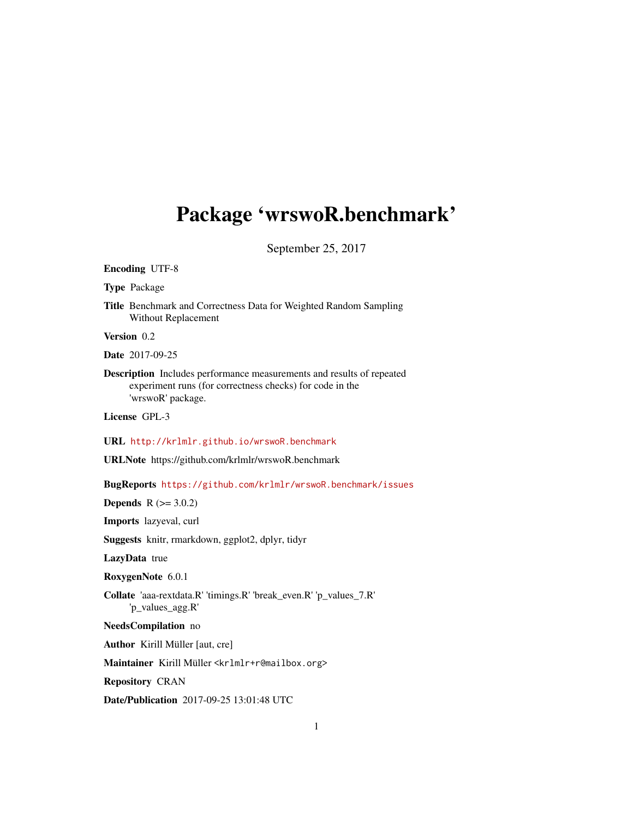# Package 'wrswoR.benchmark'

September 25, 2017

Encoding UTF-8

Type Package

Title Benchmark and Correctness Data for Weighted Random Sampling Without Replacement

Version 0.2

Date 2017-09-25

Description Includes performance measurements and results of repeated experiment runs (for correctness checks) for code in the 'wrswoR' package.

License GPL-3

URL <http://krlmlr.github.io/wrswoR.benchmark>

URLNote https://github.com/krlmlr/wrswoR.benchmark

BugReports <https://github.com/krlmlr/wrswoR.benchmark/issues>

**Depends** R  $(>= 3.0.2)$ 

Imports lazyeval, curl

Suggests knitr, rmarkdown, ggplot2, dplyr, tidyr

LazyData true

RoxygenNote 6.0.1

Collate 'aaa-rextdata.R' 'timings.R' 'break\_even.R' 'p\_values\_7.R' 'p\_values\_agg.R'

NeedsCompilation no

Author Kirill Müller [aut, cre]

Maintainer Kirill Müller <krlmlr+r@mailbox.org>

Repository CRAN

Date/Publication 2017-09-25 13:01:48 UTC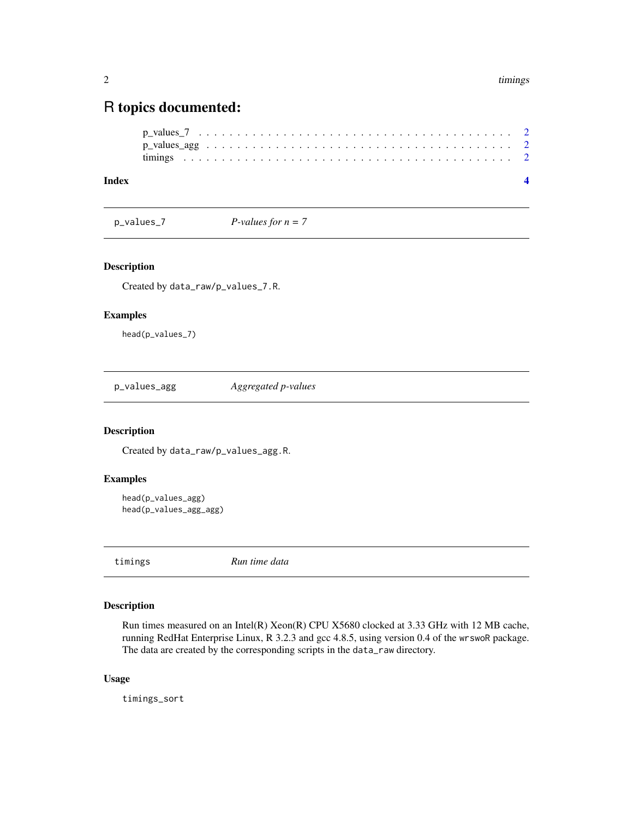# <span id="page-1-0"></span>R topics documented:

| Index |  |  |  |  |  |  |  |  |  |  |  |  |  |  |  |  |  |  |  |
|-------|--|--|--|--|--|--|--|--|--|--|--|--|--|--|--|--|--|--|--|
|       |  |  |  |  |  |  |  |  |  |  |  |  |  |  |  |  |  |  |  |
|       |  |  |  |  |  |  |  |  |  |  |  |  |  |  |  |  |  |  |  |
|       |  |  |  |  |  |  |  |  |  |  |  |  |  |  |  |  |  |  |  |

p\_values\_7 *P-values for n = 7*

#### Description

Created by data\_raw/p\_values\_7.R.

#### Examples

head(p\_values\_7)

p\_values\_agg *Aggregated p-values*

#### Description

Created by data\_raw/p\_values\_agg.R.

#### Examples

```
head(p_values_agg)
head(p_values_agg_agg)
```
timings *Run time data*

#### Description

Run times measured on an Intel(R) Xeon(R) CPU X5680 clocked at 3.33 GHz with 12 MB cache, running RedHat Enterprise Linux, R 3.2.3 and gcc 4.8.5, using version 0.4 of the wrswoR package. The data are created by the corresponding scripts in the data\_raw directory.

#### Usage

timings\_sort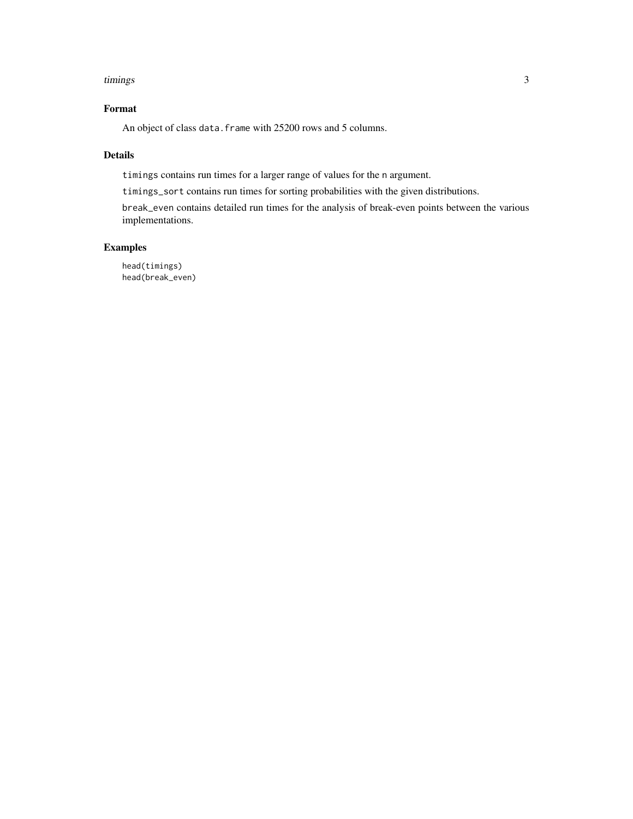#### timings 3

### Format

An object of class data. frame with 25200 rows and 5 columns.

#### Details

timings contains run times for a larger range of values for the n argument.

timings\_sort contains run times for sorting probabilities with the given distributions.

break\_even contains detailed run times for the analysis of break-even points between the various implementations.

#### Examples

head(timings) head(break\_even)